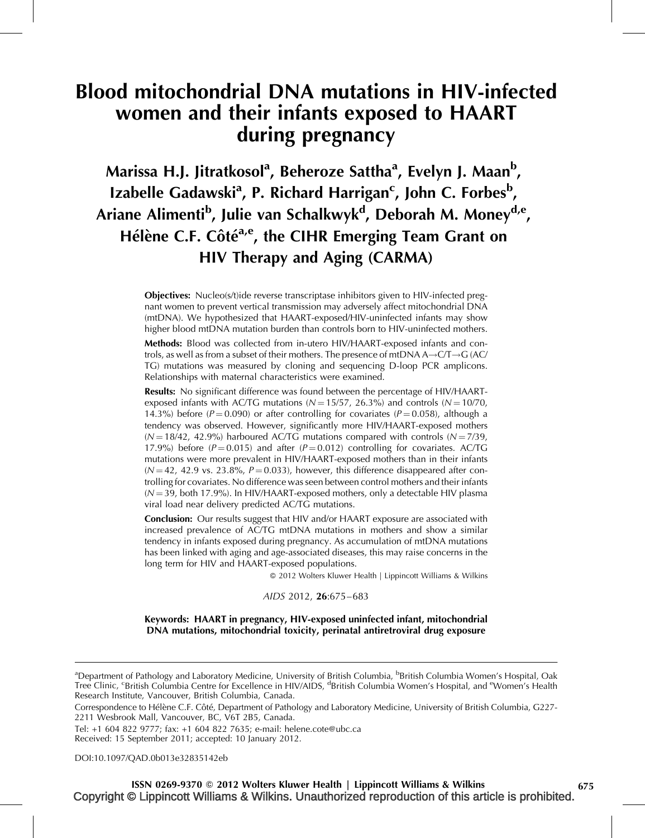# Blood mitochondrial DNA mutations in HIV-infected women and their infants exposed to HAART during pregnancy

Marissa H.J. Jitratkosol<sup>a</sup>, Beheroze Sattha<sup>a</sup>, Evelyn J. Maan<sup>b</sup>, Izabelle Gadawski<sup>a</sup>, P. Richard Harrigan<sup>c</sup>, John C. Forbes<sup>b</sup>, Ariane Alimenti<sup>b</sup>, Julie van Schalkwyk<sup>d</sup>, Deborah M. Money<sup>d,e</sup>, Hélène C.F. Côté<sup>a,e</sup>, the CIHR Emerging Team Grant on HIV Therapy and Aging (CARMA)

> **Objectives:** Nucleo(s/t)ide reverse transcriptase inhibitors given to HIV-infected pregnant women to prevent vertical transmission may adversely affect mitochondrial DNA (mtDNA). We hypothesized that HAART-exposed/HIV-uninfected infants may show higher blood mtDNA mutation burden than controls born to HIV-uninfected mothers. Methods: Blood was collected from in-utero HIV/HAART-exposed infants and controls, as well as from a subset of their mothers. The presence of mtDNA  $A \rightarrow C/T \rightarrow G$  (AC/ TG) mutations was measured by cloning and sequencing D-loop PCR amplicons. Relationships with maternal characteristics were examined.

> Results: No significant difference was found between the percentage of HIV/HAARTexposed infants with AC/TG mutations  $(N = 15/57, 26.3%)$  and controls  $(N = 10/70, 10/70)$ 14.3%) before ( $P = 0.090$ ) or after controlling for covariates ( $P = 0.058$ ), although a tendency was observed. However, significantly more HIV/HAART-exposed mothers  $(N = 18/42, 42.9%)$  harboured AC/TG mutations compared with controls  $(N = 7/39, 100)$ 17.9%) before ( $P = 0.015$ ) and after ( $P = 0.012$ ) controlling for covariates. AC/TG mutations were more prevalent in HIV/HAART-exposed mothers than in their infants  $(N = 42, 42.9 \text{ vs. } 23.8\%, P = 0.033)$ , however, this difference disappeared after controlling for covariates. No difference was seen between control mothers and their infants  $(N = 39,$  both 17.9%). In HIV/HAART-exposed mothers, only a detectable HIV plasma viral load near delivery predicted AC/TG mutations.

> **Conclusion:** Our results suggest that HIV and/or HAART exposure are associated with increased prevalence of AC/TG mtDNA mutations in mothers and show a similar tendency in infants exposed during pregnancy. As accumulation of mtDNA mutations has been linked with aging and age-associated diseases, this may raise concerns in the long term for HIV and HAART-exposed populations.

> > 2012 Wolters Kluwer Health | Lippincott Williams & Wilkins

AIDS 2012, 26*:*675–683

#### Keywords: HAART in pregnancy, HIV-exposed uninfected infant, mitochondrial DNA mutations, mitochondrial toxicity, perinatal antiretroviral drug exposure

<sup>a</sup>Department of Pathology and Laboratory Medicine, University of British Columbia, <sup>b</sup>British Columbia Women's Hospital, Oak<br>Tree Clinic, <sup>c</sup>British Columbia Centre for Excellence in HIV/AIDS, <sup>d</sup>British Columbia Women's Research Institute, Vancouver, British Columbia, Canada.

Correspondence to Hélène C.F. Côté, Department of Pathology and Laboratory Medicine, University of British Columbia, G227-2211 Wesbrook Mall, Vancouver, BC, V6T 2B5, Canada.

Tel: +1 604 822 9777; fax: +1 604 822 7635; e-mail: [helene.cote@ubc.ca](mailto:helene.cote@ubc.ca) Received: 15 September 2011; accepted: 10 January 2012.

DOI[:10.1097/QAD.0b013e32835142eb](http://dx.doi.org/10.1097/QAD.0b013e32835142eb)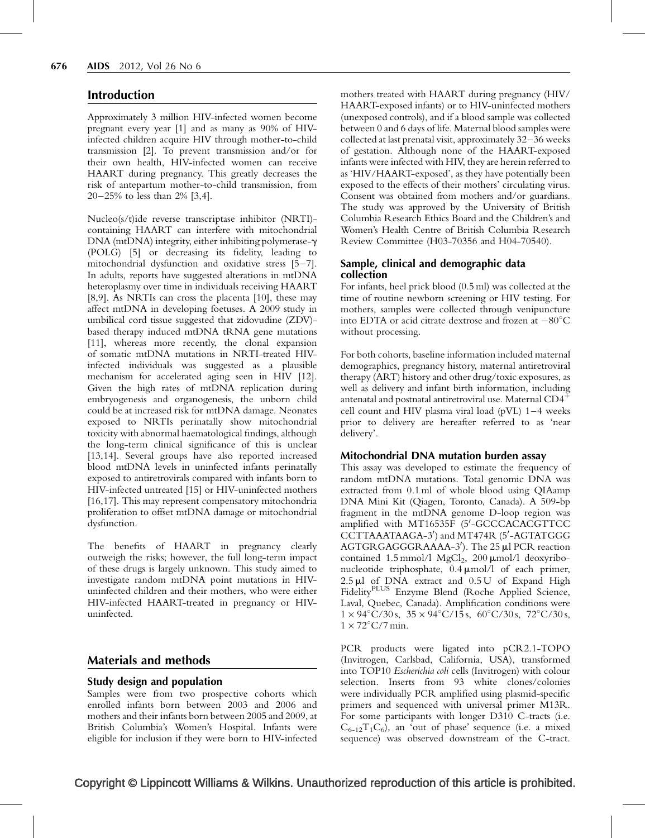### Introduction

Approximately 3 million HIV-infected women become pregnant every year [\[1\]](#page-7-0) and as many as 90% of HIVinfected children acquire HIV through mother-to-child transmission [\[2\]](#page-7-0). To prevent transmission and/or for their own health, HIV-infected women can receive HAART during pregnancy. This greatly decreases the risk of antepartum mother-to-child transmission, from 20–25% to less than 2% [\[3,4\].](#page-7-0)

Nucleo(s/t)ide reverse transcriptase inhibitor (NRTI) containing HAART can interfere with mitochondrial DNA (mtDNA) integrity, either inhibiting polymerase- $\gamma$ (POLG) [\[5\]](#page-7-0) or decreasing its fidelity, leading to mitochondrial dysfunction and oxidative stress [\[5–7\]](#page-7-0). In adults, reports have suggested alterations in mtDNA heteroplasmy over time in individuals receiving HAART [\[8,9\]](#page-7-0). As NRTIs can cross the placenta [\[10\],](#page-7-0) these may affect mtDNA in developing foetuses. A 2009 study in umbilical cord tissue suggested that zidovudine (ZDV) based therapy induced mtDNA tRNA gene mutations [\[11\]](#page-7-0), whereas more recently, the clonal expansion of somatic mtDNA mutations in NRTI-treated HIVinfected individuals was suggested as a plausible mechanism for accelerated aging seen in HIV [\[12\]](#page-7-0). Given the high rates of mtDNA replication during embryogenesis and organogenesis, the unborn child could be at increased risk for mtDNA damage. Neonates exposed to NRTIs perinatally show mitochondrial toxicity with abnormal haematological findings, although the long-term clinical significance of this is unclear [\[13,14\]](#page-7-0). Several groups have also reported increased blood mtDNA levels in uninfected infants perinatally exposed to antiretrovirals compared with infants born to HIV-infected untreated [\[15\]](#page-7-0) or HIV-uninfected mothers [\[16,17\]](#page-7-0). This may represent compensatory mitochondria proliferation to offset mtDNA damage or mitochondrial dysfunction.

The benefits of HAART in pregnancy clearly outweigh the risks; however, the full long-term impact of these drugs is largely unknown. This study aimed to investigate random mtDNA point mutations in HIVuninfected children and their mothers, who were either HIV-infected HAART-treated in pregnancy or HIVuninfected.

### Materials and methods

### Study design and population

Samples were from two prospective cohorts which enrolled infants born between 2003 and 2006 and mothers and their infants born between 2005 and 2009, at British Columbia's Women's Hospital. Infants were eligible for inclusion if they were born to HIV-infected mothers treated with HAART during pregnancy (HIV/ HAART-exposed infants) or to HIV-uninfected mothers (unexposed controls), and if a blood sample was collected between 0 and 6 days of life. Maternal blood samples were collected at last prenatal visit, approximately 32–36 weeks of gestation. Although none of the HAART-exposed infants were infected with HIV, they are herein referred to as 'HIV/HAART-exposed', as they have potentially been exposed to the effects of their mothers' circulating virus. Consent was obtained from mothers and/or guardians. The study was approved by the University of British Columbia Research Ethics Board and the Children's and Women's Health Centre of British Columbia Research Review Committee (H03-70356 and H04-70540).

### Sample, clinical and demographic data collection

For infants, heel prick blood (0.5 ml) was collected at the time of routine newborn screening or HIV testing. For mothers, samples were collected through venipuncture into EDTA or acid citrate dextrose and frozen at  $-80^{\circ}$ C without processing.

For both cohorts, baseline information included maternal demographics, pregnancy history, maternal antiretroviral therapy (ART) history and other drug/toxic exposures, as well as delivery and infant birth information, including antenatal and postnatal antiretroviral use. Maternal  $CD4^+$ cell count and HIV plasma viral load (pVL) 1–4 weeks prior to delivery are hereafter referred to as 'near delivery'.

#### Mitochondrial DNA mutation burden assay

This assay was developed to estimate the frequency of random mtDNA mutations. Total genomic DNA was extracted from 0.1 ml of whole blood using QIAamp DNA Mini Kit (Qiagen, Toronto, Canada). A 509-bp fragment in the mtDNA genome D-loop region was amplified with MT16535F (5'-GCCCACACGTTCC CCTTAAATAAGA-3') and MT474R (5'-AGTATGGG AGTGRGAGGGRAAAA-3'). The 25 µl PCR reaction contained  $1.5$  mmol/l MgCl<sub>2</sub>,  $200$   $\mu$ mol/l deoxyribonucleotide triphosphate,  $0.4 \mu$ mol/l of each primer,  $2.5 \mu$ l of DNA extract and  $0.5 \text{U}$  of Expand High Fidelity<sup>PLUS</sup> Enzyme Blend (Roche Applied Science, Laval, Quebec, Canada). Amplification conditions were  $1 \times 94^{\circ}$ C/30 s,  $35 \times 94^{\circ}$ C/15 s,  $60^{\circ}$ C/30 s,  $72^{\circ}$ C/30 s,  $1 \times 72^{\circ}$ C/7 min.

PCR products were ligated into pCR2.1-TOPO (Invitrogen, Carlsbad, California, USA), transformed into TOP10 Escherichia coli cells (Invitrogen) with colour selection. Inserts from 93 white clones/colonies were individually PCR amplified using plasmid-specific primers and sequenced with universal primer M13R. For some participants with longer D310 C-tracts (i.e.  $C_{6-12}T_1C_6$ ), an 'out of phase' sequence (i.e. a mixed sequence) was observed downstream of the C-tract.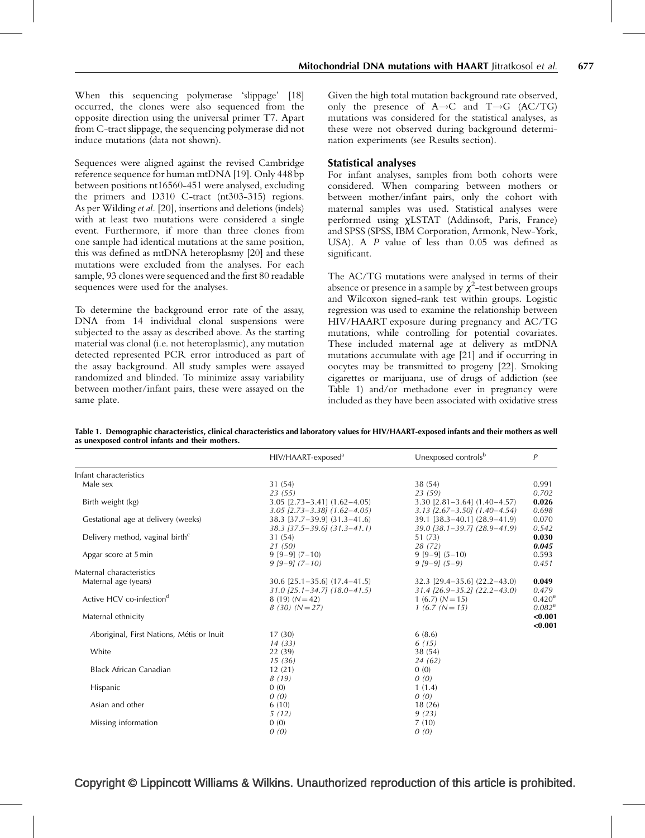<span id="page-2-0"></span>When this sequencing polymerase 'slippage' [\[18\]](#page-7-0) occurred, the clones were also sequenced from the opposite direction using the universal primer T7. Apart from C-tract slippage, the sequencing polymerase did not induce mutations (data not shown).

Sequences were aligned against the revised Cambridge reference sequence for human mtDNA [\[19\]](#page-7-0). Only 448 bp between positions nt16560-451 were analysed, excluding the primers and D310 C-tract (nt303-315) regions. As per Wilding et al. [\[20\],](#page-7-0) insertions and deletions (indels) with at least two mutations were considered a single event. Furthermore, if more than three clones from one sample had identical mutations at the same position, this was defined as mtDNA heteroplasmy [\[20\]](#page-7-0) and these mutations were excluded from the analyses. For each sample, 93 clones were sequenced and the first 80 readable sequences were used for the analyses.

To determine the background error rate of the assay, DNA from 14 individual clonal suspensions were subjected to the assay as described above. As the starting material was clonal (i.e. not heteroplasmic), any mutation detected represented PCR error introduced as part of the assay background. All study samples were assayed randomized and blinded. To minimize assay variability between mother/infant pairs, these were assayed on the same plate.

Given the high total mutation background rate observed, only the presence of  $A \rightarrow C$  and  $T \rightarrow G$  (AC/TG) mutations was considered for the statistical analyses, as these were not observed during background determination experiments (see Results section).

#### Statistical analyses

For infant analyses, samples from both cohorts were considered. When comparing between mothers or between mother/infant pairs, only the cohort with maternal samples was used. Statistical analyses were performed using xLSTAT (Addinsoft, Paris, France) and SPSS (SPSS, IBM Corporation, Armonk, New-York, USA). A P value of less than 0.05 was defined as significant.

The AC/TG mutations were analysed in terms of their absence or presence in a sample by  $\chi^2$ -test between groups and Wilcoxon signed-rank test within groups. Logistic regression was used to examine the relationship between HIV/HAART exposure during pregnancy and AC/TG mutations, while controlling for potential covariates. These included maternal age at delivery as mtDNA mutations accumulate with age [\[21\]](#page-7-0) and if occurring in oocytes may be transmitted to progeny [\[22\].](#page-7-0) Smoking cigarettes or marijuana, use of drugs of addiction (see Table 1) and/or methadone ever in pregnancy were included as they have been associated with oxidative stress

Table 1. Demographic characteristics, clinical characteristics and laboratory values for HIV/HAART-exposed infants and their mothers as well as unexposed control infants and their mothers.

|                                             | HIV/HAART-exposed <sup>a</sup>                                             | Unexposed controls <sup>b</sup>                                                      | $\overline{P}$               |
|---------------------------------------------|----------------------------------------------------------------------------|--------------------------------------------------------------------------------------|------------------------------|
| Infant characteristics                      |                                                                            |                                                                                      |                              |
| Male sex                                    | 31 (54)<br>23(55)                                                          | 38 (54)<br>23(59)                                                                    | 0.991<br>0.702               |
| Birth weight (kg)                           | $3.05$ [2.73-3.41] $(1.62-4.05)$<br>$3.05$ $[2.73 - 3.38]$ $(1.62 - 4.05)$ | $3.30$ [ $2.81 - 3.64$ ] ( $1.40 - 4.57$ )<br>$3.13$ $[2.67 - 3.50]$ $(1.40 - 4.54)$ | 0.026<br>0.698               |
| Gestational age at delivery (weeks)         | 38.3 [37.7-39.9] (31.3-41.6)<br>$38.3$ $[37.5 - 39.6]$ $(31.3 - 41.1)$     | 39.1 [38.3-40.1] (28.9-41.9)<br>$39.0$ [38.1-39.7] (28.9-41.9)                       | 0.070<br>0.542               |
| Delivery method, vaginal birth <sup>c</sup> | 31 (54)<br>21 (50)                                                         | 51 (73)<br>28 (72)                                                                   | 0.030<br>0.045               |
| Apgar score at 5 min                        | $9$ [9-9] $(7-10)$<br>$9 [9-9] (7-10)$                                     | $9$ [9-9] $(5-10)$<br>$9$ $[9-9]$ $(5-9)$                                            | 0.593<br>0.451               |
| Maternal characteristics                    |                                                                            |                                                                                      |                              |
| Maternal age (years)                        | $30.6$ [25.1-35.6] (17.4-41.5)<br>$31.0$ $[25.1 - 34.7]$ $(18.0 - 41.5)$   | $32.3$ [29.4-35.6] (22.2-43.0)<br>$31.4$ $[26.9 - 35.2]$ $(22.2 - 43.0)$             | 0.049<br>0.479               |
| Active HCV co-infection <sup>d</sup>        | $8(19)(N=42)$<br>$8(30)(N=27)$                                             | $1(6.7) (N=15)$<br>$1(6.7(N=15))$                                                    | $0.420^{\rm e}$<br>$0.082^e$ |
| Maternal ethnicity                          |                                                                            |                                                                                      | < 0.001<br>< 0.001           |
| Aboriginal, First Nations, Métis or Inuit   | 17(30)<br>14(33)                                                           | 6(8.6)<br>6(15)                                                                      |                              |
| White                                       | 22 (39)<br>15(36)                                                          | 38 (54)<br>24(62)                                                                    |                              |
| <b>Black African Canadian</b>               | 12(21)<br>8(19)                                                            | 0(0)<br>0(0)                                                                         |                              |
| Hispanic                                    | 0(0)<br>0(0)                                                               | 1(1.4)<br>0(0)                                                                       |                              |
| Asian and other                             | 6(10)<br>5(12)                                                             | 18(26)<br>9(23)                                                                      |                              |
| Missing information                         | 0(0)<br>0(0)                                                               | 7(10)<br>0(0)                                                                        |                              |

Copyright © Lippincott Williams & Wilkins. Unauthorized reproduction of this article is prohibited.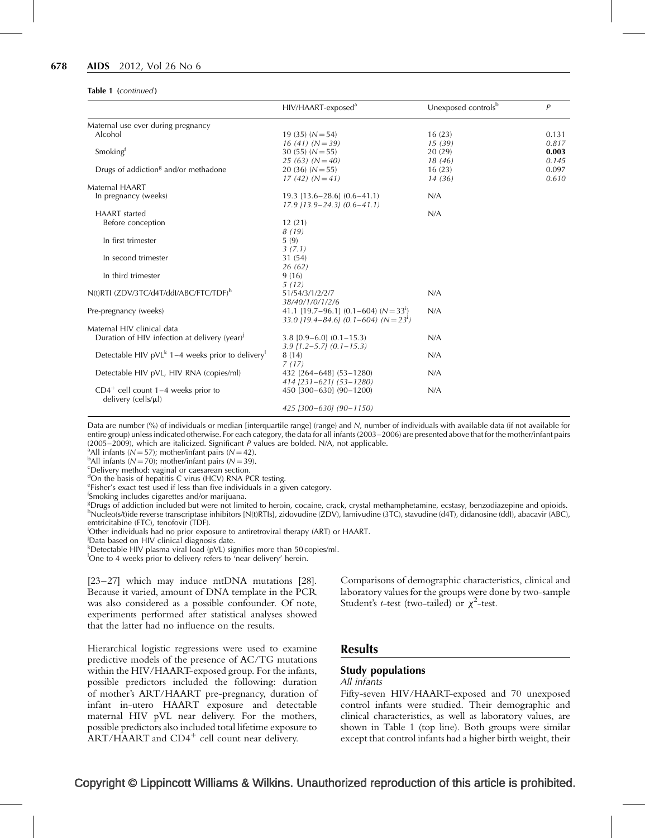#### <span id="page-3-0"></span>Table 1 (continued)

|                                                                 | HIV/HAART-exposed <sup>a</sup>                 | Unexposed controlsb | $\overline{P}$ |
|-----------------------------------------------------------------|------------------------------------------------|---------------------|----------------|
| Maternal use ever during pregnancy                              |                                                |                     |                |
| Alcohol                                                         | $19(35)(N=54)$                                 | 16(23)              | 0.131          |
|                                                                 | $16(41)(N=39)$                                 | 15(39)              | 0.817          |
| Smokingf                                                        | $30(55)(N=55)$                                 | 20(29)              | 0.003          |
|                                                                 | 25 (63) $(N=40)$                               | 18(46)              | 0.145          |
| Drugs of addiction <sup>8</sup> and/or methadone                | $20(36)(N=55)$                                 | 16(23)              | 0.097          |
|                                                                 | $17(42)(N=41)$                                 | 14(36)              | 0.610          |
| Maternal HAART                                                  |                                                |                     |                |
| In pregnancy (weeks)                                            | $19.3$ [13.6-28.6] $(0.6-41.1)$                | N/A                 |                |
|                                                                 | $17.9$ [13.9-24.3] $(0.6-41.1)$                |                     |                |
| <b>HAART</b> started                                            |                                                | N/A                 |                |
| Before conception                                               | 12(21)                                         |                     |                |
|                                                                 | 8(19)                                          |                     |                |
| In first trimester                                              | 5(9)                                           |                     |                |
|                                                                 | 3(7.1)                                         |                     |                |
| In second trimester                                             | 31 (54)                                        |                     |                |
|                                                                 | 26(62)                                         |                     |                |
| In third trimester                                              | 9(16)                                          |                     |                |
|                                                                 | 5(12)                                          |                     |                |
| N(t)RTI (ZDV/3TC/d4T/ddI/ABC/FTC/TDF) <sup>h</sup>              | 51/54/3/1/2/2/7                                | N/A                 |                |
|                                                                 | 38/40/1/0/1/2/6                                |                     |                |
| Pre-pregnancy (weeks)                                           | 41.1 $[19.7-96.1]$ $(0.1-604)$ $(N=33^i)$      | N/A                 |                |
|                                                                 | 33.0 [19.4–84.6] (0.1–604) (N = $23^{\rm i}$ ) |                     |                |
| Maternal HIV clinical data                                      |                                                |                     |                |
| Duration of HIV infection at delivery (year) <sup>j</sup>       | $3.8$ [0.9-6.0] $(0.1-15.3)$                   | N/A                 |                |
|                                                                 | $3.9$ [1.2-5.7] (0.1-15.3)                     |                     |                |
| Detectable HIV $pVL^k$ 1–4 weeks prior to delivery <sup>1</sup> | 8(14)                                          | N/A                 |                |
|                                                                 | 7(17)                                          |                     |                |
| Detectable HIV pVL, HIV RNA (copies/ml)                         | 432 [264-648] (53-1280)                        | N/A                 |                |
|                                                                 | $414$ $[231 - 621]$ $(53 - 1280)$              |                     |                |
| $CD4^+$ cell count 1–4 weeks prior to                           | 450 [300-630] (90-1200)                        | N/A                 |                |
| delivery $(cells/\mu l)$                                        |                                                |                     |                |
|                                                                 | 425 [300-630] (90-1150)                        |                     |                |
|                                                                 |                                                |                     |                |

Data are number (%) of individuals or median [interquartile range] (range) and N, number of individuals with available data (if not available for entire group) unless indicated otherwise. For each category, the data for all infants (2003–2006) are presented above that for the mother/infant pairs (2005–2009), which are italicized. Significant P values are bolded. N/A, not applicable.  $a^a$ All infants ( $N = 57$ ); mother/infant pairs ( $N = 42$ ).

<sup>a</sup>All infants ( $N = 57$ ); mother/infant pairs ( $N = 42$ ).<br><sup>b</sup>All infants ( $N = 70$ ); mother/infant pairs ( $N = 30$ )

<sup>B</sup>All infants ( $N = 70$ ); mother/infant pairs ( $N = 39$ ).

Delivery method: vaginal or caesarean section.

<sup>d</sup>On the basis of hepatitis C virus (HCV) RNA PCR testing.

<sup>e</sup> Fisher's exact test used if less than five individuals in a given category.

f Smoking includes cigarettes and/or marijuana.

g Drugs of addiction included but were not limited to heroin, cocaine, crack, crystal methamphetamine, ecstasy, benzodiazepine and opioids. h Nucleo(s/t)ide reverse transcriptase inhibitors [N(t)RTIs], zidovudine (ZDV), lamivudine (3TC), stavudine (d4T), didanosine (ddI), abacavir (ABC), emtricitabine (FTC), tenofovir (TDF).

i Other individuals had no prior exposure to antiretroviral therapy (ART) or HAART.

j Data based on HIV clinical diagnosis date.

 $k$ Detectable HIV plasma viral load (pVL) signifies more than 50 copies/ml.

One to 4 weeks prior to delivery refers to 'near delivery' herein.

[\[23–27\]](#page-8-0) which may induce mtDNA mutations [\[28\]](#page-8-0). Because it varied, amount of DNA template in the PCR was also considered as a possible confounder. Of note, experiments performed after statistical analyses showed that the latter had no influence on the results.

Hierarchical logistic regressions were used to examine predictive models of the presence of AC/TG mutations within the HIV/HAART-exposed group. For the infants, possible predictors included the following: duration of mother's ART/HAART pre-pregnancy, duration of infant in-utero HAART exposure and detectable maternal HIV pVL near delivery. For the mothers, possible predictors also included total lifetime exposure to  $ART/HAART$  and  $CD4^+$  cell count near delivery.

Comparisons of demographic characteristics, clinical and laboratory values for the groups were done by two-sample Student's *t*-test (two-tailed) or  $\chi^2$ -test.

### Results

#### Study populations

#### All infants

Fifty-seven HIV/HAART-exposed and 70 unexposed control infants were studied. Their demographic and clinical characteristics, as well as laboratory values, are shown in [Table 1](#page-2-0) (top line). Both groups were similar except that control infants had a higher birth weight, their

## Copyright © Lippincott Williams & Wilkins. Unauthorized reproduction of this article is prohibited.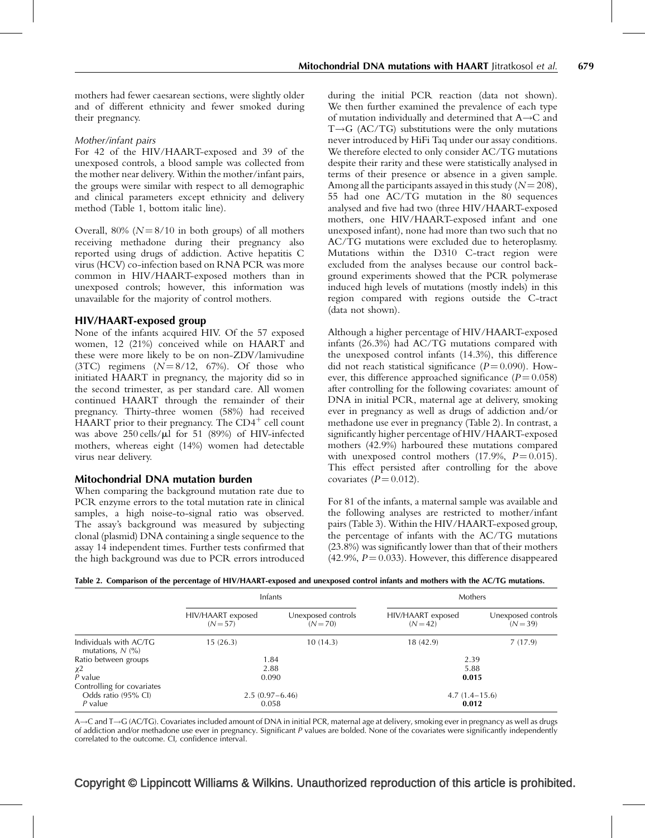mothers had fewer caesarean sections, were slightly older and of different ethnicity and fewer smoked during their pregnancy.

#### Mother/infant pairs

For 42 of the HIV/HAART-exposed and 39 of the unexposed controls, a blood sample was collected from the mother near delivery. Within the mother/infant pairs, the groups were similar with respect to all demographic and clinical parameters except ethnicity and delivery method [\(Table 1](#page-2-0), bottom italic line).

Overall, 80% ( $N = 8/10$  in both groups) of all mothers receiving methadone during their pregnancy also reported using drugs of addiction. Active hepatitis C virus (HCV) co-infection based on RNA PCR was more common in HIV/HAART-exposed mothers than in unexposed controls; however, this information was unavailable for the majority of control mothers.

#### HIV/HAART-exposed group

None of the infants acquired HIV. Of the 57 exposed women, 12 (21%) conceived while on HAART and these were more likely to be on non-ZDV/lamivudine (3TC) regimens  $(N = 8/12, 67%)$ . Of those who initiated HAART in pregnancy, the majority did so in the second trimester, as per standard care. All women continued HAART through the remainder of their pregnancy. Thirty-three women (58%) had received HAART prior to their pregnancy. The  $CD4^+$  cell count was above  $250$  cells/ $\mu$ l for 51 (89%) of HIV-infected mothers, whereas eight (14%) women had detectable virus near delivery.

#### Mitochondrial DNA mutation burden

When comparing the background mutation rate due to PCR enzyme errors to the total mutation rate in clinical samples, a high noise-to-signal ratio was observed. The assay's background was measured by subjecting clonal (plasmid) DNA containing a single sequence to the assay 14 independent times. Further tests confirmed that the high background was due to PCR errors introduced

during the initial PCR reaction (data not shown). We then further examined the prevalence of each type of mutation individually and determined that  $A \rightarrow C$  and  $T \rightarrow G$  (AC/TG) substitutions were the only mutations never introduced by HiFi Taq under our assay conditions. We therefore elected to only consider AC/TG mutations despite their rarity and these were statistically analysed in terms of their presence or absence in a given sample. Among all the participants assayed in this study  $(N = 208)$ , 55 had one AC/TG mutation in the 80 sequences analysed and five had two (three HIV/HAART-exposed mothers, one HIV/HAART-exposed infant and one unexposed infant), none had more than two such that no AC/TG mutations were excluded due to heteroplasmy. Mutations within the D310 C-tract region were excluded from the analyses because our control background experiments showed that the PCR polymerase induced high levels of mutations (mostly indels) in this region compared with regions outside the C-tract (data not shown).

Although a higher percentage of HIV/HAART-exposed infants (26.3%) had AC/TG mutations compared with the unexposed control infants (14.3%), this difference did not reach statistical significance ( $P = 0.090$ ). However, this difference approached significance  $(P = 0.058)$ after controlling for the following covariates: amount of DNA in initial PCR, maternal age at delivery, smoking ever in pregnancy as well as drugs of addiction and/or methadone use ever in pregnancy (Table 2). In contrast, a significantly higher percentage of HIV/HAART-exposed mothers (42.9%) harboured these mutations compared with unexposed control mothers (17.9%,  $P = 0.015$ ). This effect persisted after controlling for the above covariates  $(P = 0.012)$ .

For 81 of the infants, a maternal sample was available and the following analyses are restricted to mother/infant pairs ([Table 3](#page-5-0)). Within the HIV/HAART-exposed group, the percentage of infants with the AC/TG mutations (23.8%) was significantly lower than that of their mothers  $(42.9\%, P = 0.033)$ . However, this difference disappeared

|  |  |  |  |  | Table 2. Comparison of the percentage of HIV/HAART-exposed and unexposed control infants and mothers with the AC/TG mutations. |
|--|--|--|--|--|--------------------------------------------------------------------------------------------------------------------------------|
|--|--|--|--|--|--------------------------------------------------------------------------------------------------------------------------------|

|                                              | Infants                         |                                  | Mothers                         |                                  |  |
|----------------------------------------------|---------------------------------|----------------------------------|---------------------------------|----------------------------------|--|
|                                              | HIV/HAART exposed<br>$(N = 57)$ | Unexposed controls<br>$(N = 70)$ | HIV/HAART exposed<br>$(N = 42)$ | Unexposed controls<br>$(N = 39)$ |  |
| Individuals with AC/TG<br>mutations, $N$ (%) | 15(26.3)                        | 10(14.3)                         | 18 (42.9)                       | 7(17.9)                          |  |
| Ratio between groups                         | 1.84                            |                                  | 2.39                            |                                  |  |
| $x^2$                                        | 2.88                            |                                  | 5.88                            |                                  |  |
| $P$ value                                    | 0.090                           |                                  | 0.015                           |                                  |  |
| Controlling for covariates                   |                                 |                                  |                                 |                                  |  |
| Odds ratio (95% CI)                          | $2.5(0.97 - 6.46)$              |                                  | $4.7(1.4 - 15.6)$               |                                  |  |
| $P$ value                                    | 0.058                           |                                  | 0.012                           |                                  |  |

 $A \rightarrow C$  and T $\rightarrow G$  (AC/TG). Covariates included amount of DNA in initial PCR, maternal age at delivery, smoking ever in pregnancy as well as drugs of addiction and/or methadone use ever in pregnancy. Significant P values are bolded. None of the covariates were significantly independently correlated to the outcome. CI, confidence interval.

### Copyright © Lippincott Williams & Wilkins. Unauthorized reproduction of this article is prohibited.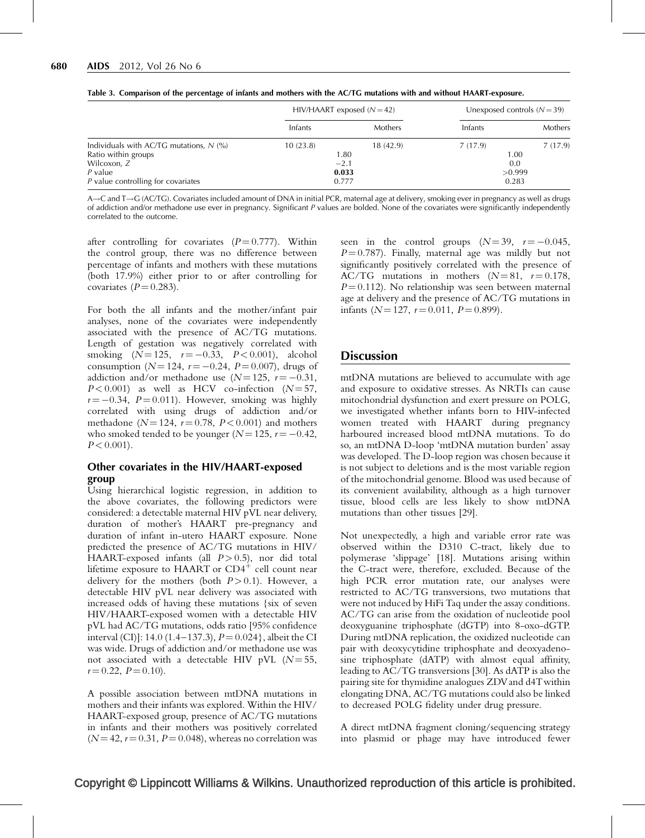|                                           | HIV/HAART exposed $(N=42)$ |                | Unexposed controls $(N=39)$ |         |
|-------------------------------------------|----------------------------|----------------|-----------------------------|---------|
|                                           | Infants                    | <b>Mothers</b> | Infants                     | Mothers |
| Individuals with AC/TG mutations, $N$ (%) | 10(23.8)                   | 18 (42.9)      | 7(17.9)                     | 7(17.9) |
| Ratio within groups                       | 1.80                       |                |                             | 1.00    |
| Wilcoxon, Z                               | $-2.1$                     |                | 0.0                         |         |
| $P$ value                                 | 0.033                      |                | >0.999                      |         |
| P value controlling for covariates        | 0.777                      |                | 0.283                       |         |

<span id="page-5-0"></span>

|  |  | Table 3. Comparison of the percentage of infants and mothers with the AC/TG mutations with and without HAART-exposure. |  |
|--|--|------------------------------------------------------------------------------------------------------------------------|--|
|  |  |                                                                                                                        |  |

A→C and T→G (AC/TG). Covariates included amount of DNA in initial PCR, maternal age at delivery, smoking ever in pregnancy as well as drugs of addiction and/or methadone use ever in pregnancy. Significant P values are bolded. None of the covariates were significantly independently correlated to the outcome.

after controlling for covariates  $(P = 0.777)$ . Within the control group, there was no difference between percentage of infants and mothers with these mutations (both 17.9%) either prior to or after controlling for covariates  $(P = 0.283)$ .

For both the all infants and the mother/infant pair analyses, none of the covariates were independently associated with the presence of AC/TG mutations. Length of gestation was negatively correlated with smoking  $(N = 125, r = -0.33, P < 0.001)$ , alcohol consumption ( $N = 124$ ,  $r = -0.24$ ,  $P = 0.007$ ), drugs of addiction and/or methadone use  $(N = 125, r = -0.31,$  $P < 0.001$ ) as well as HCV co-infection ( $N = 57$ ,  $r = -0.34$ ,  $P = 0.011$ ). However, smoking was highly correlated with using drugs of addiction and/or methadone ( $N = 124$ ,  $r = 0.78$ ,  $P < 0.001$ ) and mothers who smoked tended to be younger ( $N = 125$ ,  $r = -0.42$ ,  $P < 0.001$ ).

#### Other covariates in the HIV/HAART-exposed group

Using hierarchical logistic regression, in addition to the above covariates, the following predictors were considered: a detectable maternal HIV pVL near delivery, duration of mother's HAART pre-pregnancy and duration of infant in-utero HAART exposure. None predicted the presence of AC/TG mutations in HIV/ HAART-exposed infants (all  $P > 0.5$ ), nor did total lifetime exposure to HAART or  $CD4^+$  cell count near delivery for the mothers (both  $P > 0.1$ ). However, a detectable HIV pVL near delivery was associated with increased odds of having these mutations {six of seven HIV/HAART-exposed women with a detectable HIV pVL had AC/TG mutations, odds ratio [95% confidence interval (CI)]: 14.0 (1.4–137.3),  $P = 0.024$ , albeit the CI was wide. Drugs of addiction and/or methadone use was not associated with a detectable HIV pVL  $(N = 55$ ,  $r = 0.22$ ,  $P = 0.10$ ).

A possible association between mtDNA mutations in mothers and their infants was explored. Within the HIV/ HAART-exposed group, presence of AC/TG mutations in infants and their mothers was positively correlated  $(N = 42, r = 0.31, P = 0.048)$ , whereas no correlation was seen in the control groups  $(N=39, r = -0.045,$  $P = 0.787$ . Finally, maternal age was mildly but not significantly positively correlated with the presence of AC/TG mutations in mothers  $(N = 81, r = 0.178,$  $P = 0.112$ ). No relationship was seen between maternal age at delivery and the presence of AC/TG mutations in infants ( $N = 127$ ,  $r = 0.011$ ,  $P = 0.899$ ).

### **Discussion**

mtDNA mutations are believed to accumulate with age and exposure to oxidative stresses. As NRTIs can cause mitochondrial dysfunction and exert pressure on POLG, we investigated whether infants born to HIV-infected women treated with HAART during pregnancy harboured increased blood mtDNA mutations. To do so, an mtDNA D-loop 'mtDNA mutation burden' assay was developed. The D-loop region was chosen because it is not subject to deletions and is the most variable region of the mitochondrial genome. Blood was used because of its convenient availability, although as a high turnover tissue, blood cells are less likely to show mtDNA mutations than other tissues [\[29\]](#page-8-0).

Not unexpectedly, a high and variable error rate was observed within the D310 C-tract, likely due to polymerase 'slippage' [\[18\].](#page-7-0) Mutations arising within the C-tract were, therefore, excluded. Because of the high PCR error mutation rate, our analyses were restricted to AC/TG transversions, two mutations that were not induced by HiFi Taq under the assay conditions. AC/TG can arise from the oxidation of nucleotide pool deoxyguanine triphosphate (dGTP) into 8-oxo-dGTP. During mtDNA replication, the oxidized nucleotide can pair with deoxycytidine triphosphate and deoxyadenosine triphosphate (dATP) with almost equal affinity, leading to AC/TG transversions [\[30\].](#page-8-0) As dATP is also the pairing site for thymidine analogues ZDVand d4Twithin elongating DNA, AC/TG mutations could also be linked to decreased POLG fidelity under drug pressure.

A direct mtDNA fragment cloning/sequencing strategy into plasmid or phage may have introduced fewer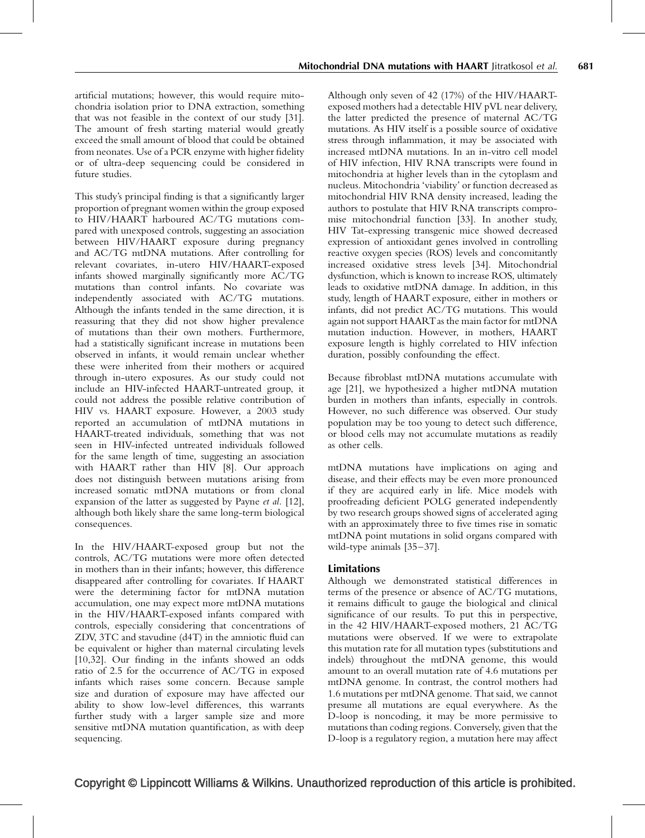artificial mutations; however, this would require mitochondria isolation prior to DNA extraction, something that was not feasible in the context of our study [\[31\]](#page-8-0). The amount of fresh starting material would greatly exceed the small amount of blood that could be obtained from neonates. Use of a PCR enzyme with higher fidelity or of ultra-deep sequencing could be considered in future studies.

This study's principal finding is that a significantly larger proportion of pregnant women within the group exposed to HIV/HAART harboured AC/TG mutations compared with unexposed controls, suggesting an association between HIV/HAART exposure during pregnancy and AC/TG mtDNA mutations. After controlling for relevant covariates, in-utero HIV/HAART-exposed infants showed marginally significantly more AC/TG mutations than control infants. No covariate was independently associated with AC/TG mutations. Although the infants tended in the same direction, it is reassuring that they did not show higher prevalence of mutations than their own mothers. Furthermore, had a statistically significant increase in mutations been observed in infants, it would remain unclear whether these were inherited from their mothers or acquired through in-utero exposures. As our study could not include an HIV-infected HAART-untreated group, it could not address the possible relative contribution of HIV vs. HAART exposure. However, a 2003 study reported an accumulation of mtDNA mutations in HAART-treated individuals, something that was not seen in HIV-infected untreated individuals followed for the same length of time, suggesting an association with HAART rather than HIV [\[8\].](#page-7-0) Our approach does not distinguish between mutations arising from increased somatic mtDNA mutations or from clonal expansion of the latter as suggested by Payne et al. [\[12\]](#page-7-0), although both likely share the same long-term biological consequences.

In the HIV/HAART-exposed group but not the controls, AC/TG mutations were more often detected in mothers than in their infants; however, this difference disappeared after controlling for covariates. If HAART were the determining factor for mtDNA mutation accumulation, one may expect more mtDNA mutations in the HIV/HAART-exposed infants compared with controls, especially considering that concentrations of ZDV, 3TC and stavudine (d4T) in the amniotic fluid can be equivalent or higher than maternal circulating levels [\[10,32\]](#page-7-0). Our finding in the infants showed an odds ratio of 2.5 for the occurrence of AC/TG in exposed infants which raises some concern. Because sample size and duration of exposure may have affected our ability to show low-level differences, this warrants further study with a larger sample size and more sensitive mtDNA mutation quantification, as with deep sequencing.

Although only seven of 42 (17%) of the HIV/HAARTexposed mothers had a detectable HIV pVL near delivery, the latter predicted the presence of maternal AC/TG mutations. As HIV itself is a possible source of oxidative stress through inflammation, it may be associated with increased mtDNA mutations. In an in-vitro cell model of HIV infection, HIV RNA transcripts were found in mitochondria at higher levels than in the cytoplasm and nucleus. Mitochondria 'viability' or function decreased as mitochondrial HIV RNA density increased, leading the authors to postulate that HIV RNA transcripts compromise mitochondrial function [\[33\].](#page-8-0) In another study, HIV Tat-expressing transgenic mice showed decreased expression of antioxidant genes involved in controlling reactive oxygen species (ROS) levels and concomitantly increased oxidative stress levels [\[34\].](#page-8-0) Mitochondrial dysfunction, which is known to increase ROS, ultimately leads to oxidative mtDNA damage. In addition, in this study, length of HAART exposure, either in mothers or infants, did not predict AC/TG mutations. This would again not support HAART as the main factor for mtDNA mutation induction. However, in mothers, HAART exposure length is highly correlated to HIV infection duration, possibly confounding the effect.

Because fibroblast mtDNA mutations accumulate with age [\[21\]](#page-7-0), we hypothesized a higher mtDNA mutation burden in mothers than infants, especially in controls. However, no such difference was observed. Our study population may be too young to detect such difference, or blood cells may not accumulate mutations as readily as other cells.

mtDNA mutations have implications on aging and disease, and their effects may be even more pronounced if they are acquired early in life. Mice models with proofreading deficient POLG generated independently by two research groups showed signs of accelerated aging with an approximately three to five times rise in somatic mtDNA point mutations in solid organs compared with wild-type animals [\[35–37\]](#page-8-0).

#### Limitations

Although we demonstrated statistical differences in terms of the presence or absence of AC/TG mutations, it remains difficult to gauge the biological and clinical significance of our results. To put this in perspective, in the 42 HIV/HAART-exposed mothers, 21 AC/TG mutations were observed. If we were to extrapolate this mutation rate for all mutation types (substitutions and indels) throughout the mtDNA genome, this would amount to an overall mutation rate of 4.6 mutations per mtDNA genome. In contrast, the control mothers had 1.6 mutations per mtDNA genome. That said, we cannot presume all mutations are equal everywhere. As the D-loop is noncoding, it may be more permissive to mutations than coding regions. Conversely, given that the D-loop is a regulatory region, a mutation here may affect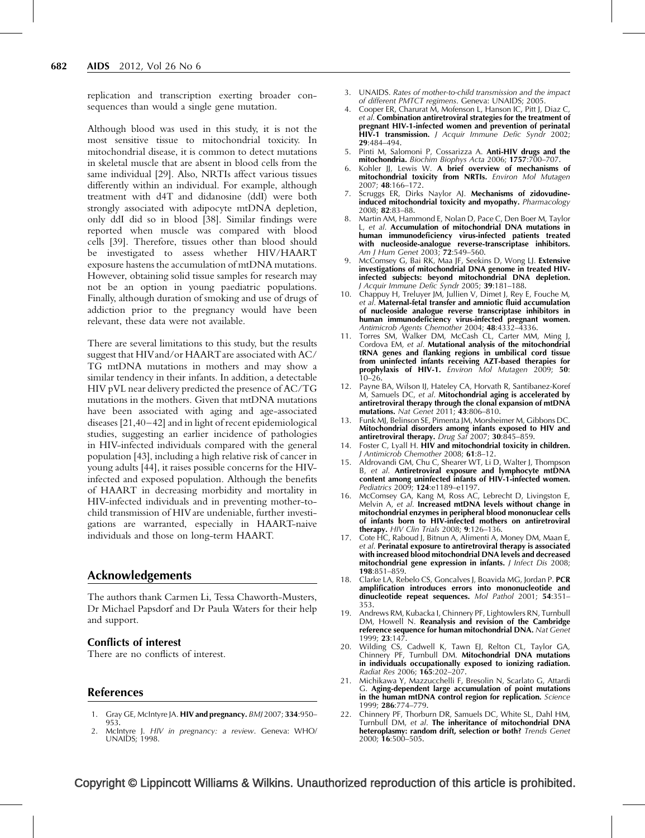<span id="page-7-0"></span>replication and transcription exerting broader consequences than would a single gene mutation.

Although blood was used in this study, it is not the most sensitive tissue to mitochondrial toxicity. In mitochondrial disease, it is common to detect mutations in skeletal muscle that are absent in blood cells from the same individual [\[29\].](#page-8-0) Also, NRTIs affect various tissues differently within an individual. For example, although treatment with d4T and didanosine (ddI) were both strongly associated with adipocyte mtDNA depletion, only ddI did so in blood [\[38\]](#page-8-0). Similar findings were reported when muscle was compared with blood cells [\[39\].](#page-8-0) Therefore, tissues other than blood should be investigated to assess whether HIV/HAART exposure hastens the accumulation of mtDNA mutations. However, obtaining solid tissue samples for research may not be an option in young paediatric populations. Finally, although duration of smoking and use of drugs of addiction prior to the pregnancy would have been relevant, these data were not available.

There are several limitations to this study, but the results suggest that HIVand/or HAARTare associated with AC/ TG mtDNA mutations in mothers and may show a similar tendency in their infants. In addition, a detectable HIV pVL near delivery predicted the presence of AC/TG mutations in the mothers. Given that mtDNA mutations have been associated with aging and age-associated diseases [21,40–42] and in light of recent epidemiological studies, suggesting an earlier incidence of pathologies in HIV-infected individuals compared with the general population [\[43\]](#page-8-0), including a high relative risk of cancer in young adults [\[44\]](#page-8-0), it raises possible concerns for the HIVinfected and exposed population. Although the benefits of HAART in decreasing morbidity and mortality in HIV-infected individuals and in preventing mother-tochild transmission of HIV are undeniable, further investigations are warranted, especially in HAART-naive individuals and those on long-term HAART.

### Acknowledgements

The authors thank Carmen Li, Tessa Chaworth-Musters, Dr Michael Papsdorf and Dr Paula Waters for their help and support.

#### Conflicts of interest

There are no conflicts of interest.

### References

- 1. Gray GE, McIntyre JA. HIV and pregnancy. BMJ 2007; 334:950-953.
- 2. McIntyre J. HIV in pregnancy: a review. Geneva: WHO/ UNAIDS; 1998.
- 3. UNAIDS. Rates of mother-to-child transmission and the impact of different PMTCT regimens. Geneva: UNAIDS; 2005.
- 4. Cooper ER, Charurat M, Mofenson L, Hanson IC, Pitt J, Diaz C, et al. Combination antiretroviral strategies for the treatment of pregnant HIV-1-infected women and prevention of perinatal HIV-1 transmission. J Acquir Immune Defic Syndr 2002; 29:484–494.
- Pinti M, Salomoni P, Cossarizza A. Anti-HIV drugs and the mitochondria. Biochim Biophys Acta 2006; 1757:700-707.
- 6. Kohler JJ, Lewis W. A brief overview of mechanisms of mitochondrial toxicity from NRTIs. Environ Mol Mutagen 2007; 48:166–172.
- 7. Scruggs ER, Dirks Naylor AJ. Mechanisms of zidovudineinduced mitochondrial toxicity and myopathy. Pharmacology 2008; 82:83–88.
- 8. Martin AM, Hammond E, Nolan D, Pace C, Den Boer M, Taylor L, et al. Accumulation of mitochondrial DNA mutations in human immunodeficiency virus-infected patients treated with nucleoside-analogue reverse-transcriptase inhibitors. Am J Hum Genet 2003; 72:549–560.
- 9. McComsey G, Bai RK, Maa JF, Seekins D, Wong LJ. Extensive investigations of mitochondrial DNA genome in treated HIVinfected subjects: beyond mitochondrial DNA depletion. J Acquir Immune Defic Syndr 2005; 39:181–188.
- 10. Chappuy H, Treluyer JM, Jullien V, Dimet J, Rey E, Fouche M, et al. Maternal-fetal transfer and amniotic fluid accumulation of nucleoside analogue reverse transcriptase inhibitors in human immunodeficiency virus-infected pregnant women. Antimicrob Agents Chemother 2004; 48:4332-4336.
- 11. Torres SM, Walker DM, McCash CL, Carter MM, Ming Cordova EM, et al. Mutational analysis of the mitochondrial tRNA genes and flanking regions in umbilical cord tissue from uninfected infants receiving AZT-based therapies for prophylaxis of HIV-1. Environ Mol Mutagen 2009; 50:  $10 - 26.$
- 12. Payne BA, Wilson IJ, Hateley CA, Horvath R, Santibanez-Koref M, Samuels DC, et al. Mitochondrial aging is accelerated by antiretroviral therapy through the clonal expansion of mtDNA mutations. Nat Genet 2011; 43:806-810.
- 13. Funk MJ, Belinson SE, Pimenta JM, Morsheimer M, Gibbons DC. Mitochondrial disorders among infants exposed to HIV and antiretroviral therapy. Drug Saf 2007; 30:845–859.
- 14. Foster C, Lyall H. HIV and mitochondrial toxicity in children. J Antimicrob Chemother 2008; 61:8–12.
- 15. Aldrovandi GM, Chu C, Shearer WT, Li D, Walter J, Thompson B, et al. Antiretroviral exposure and lymphocyte mtDNA content among uninfected infants of HIV-1-infected women. Pediatrics 2009; 124:e1189-e1197.
- 16. McComsey GA, Kang M, Ross AC, Lebrecht D, Livingston E, Melvin A, et al. Increased mtDNA levels without change in mitochondrial enzymes in peripheral blood mononuclear cells of infants born to HIV-infected mothers on antiretroviral therapy. HIV Clin Trials 2008; 9:126–136.
- 17. Cote HC, Raboud J, Bitnun A, Alimenti A, Money DM, Maan E, et al. Perinatal exposure to antiretroviral therapy is associated with increased blood mitochondrial DNA levels and decreased mitochondrial gene expression in infants. *J Infect Dis* 2008; 198:851–859.
- 18. Clarke LA, Rebelo CS, Goncalves J, Boavida MG, Jordan P. PCR amplification introduces errors into mononucleotide and dinucleotide repeat sequences. Mol Pathol 2001; 54:351– 353.
- 19. Andrews RM, Kubacka I, Chinnery PF, Lightowlers RN, Turnbull DM, Howell N. Reanalysis and revision of the Cambridge reference sequence for human mitochondrial DNA. Nat Genet 1999; 23:147.
- 20. Wilding CS, Cadwell K, Tawn EJ, Relton CL, Taylor GA, Chinnery PF, Turnbull DM. Mitochondrial DNA mutations in individuals occupationally exposed to ionizing radiation. Radiat Res 2006; 165:202–207.
- 21. Michikawa Y, Mazzucchelli F, Bresolin N, Scarlato G, Attardi G. Aging-dependent large accumulation of point mutations in the human mtDNA control region for replication. Science 1999; 286:774–779.
- 22. Chinnery PF, Thorburn DR, Samuels DC, White SL, Dahl HM, Turnbull DM, et al. The inheritance of mitochondrial DNA heteroplasmy: random drift, selection or both? Trends Genet 2000; 16:500–505.